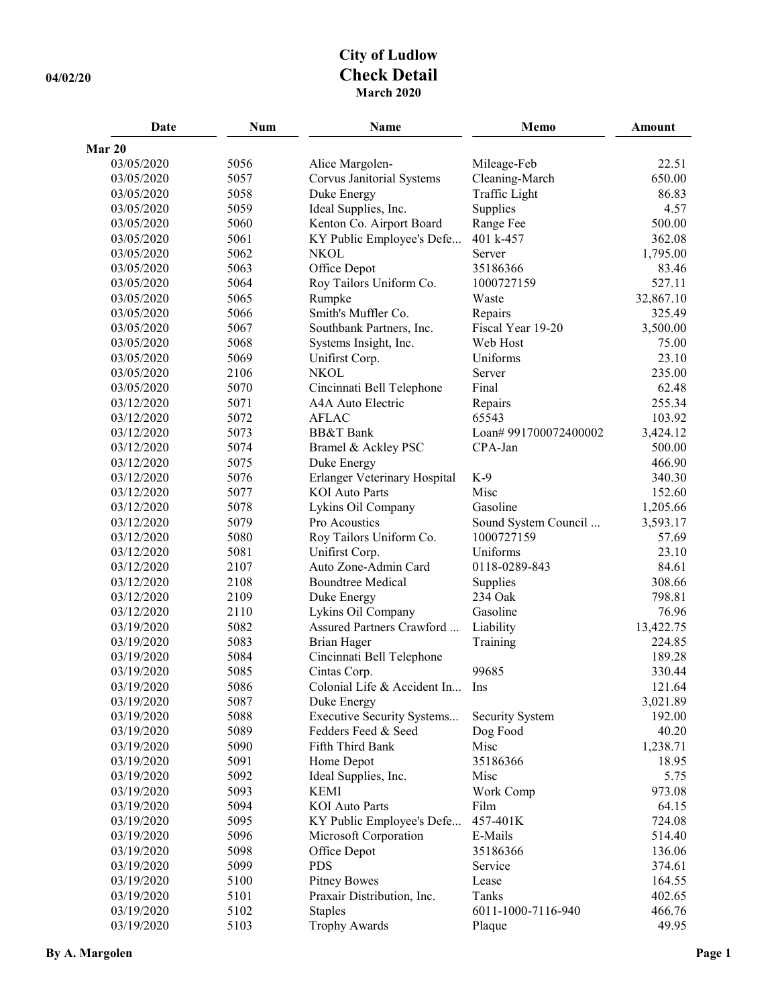## **City of Ludlow 04/02/20 Check Detail March 2020**

| Date       | <b>Num</b> | <b>Name</b>                  | Memo                  | Amount    |
|------------|------------|------------------------------|-----------------------|-----------|
| Mar 20     |            |                              |                       |           |
| 03/05/2020 | 5056       | Alice Margolen-              | Mileage-Feb           | 22.51     |
| 03/05/2020 | 5057       | Corvus Janitorial Systems    | Cleaning-March        | 650.00    |
| 03/05/2020 | 5058       | Duke Energy                  | Traffic Light         | 86.83     |
| 03/05/2020 | 5059       | Ideal Supplies, Inc.         | Supplies              | 4.57      |
| 03/05/2020 | 5060       | Kenton Co. Airport Board     | Range Fee             | 500.00    |
| 03/05/2020 | 5061       | KY Public Employee's Defe    | 401 k-457             | 362.08    |
| 03/05/2020 | 5062       | <b>NKOL</b>                  | Server                | 1,795.00  |
| 03/05/2020 | 5063       | Office Depot                 | 35186366              | 83.46     |
| 03/05/2020 | 5064       | Roy Tailors Uniform Co.      | 1000727159            | 527.11    |
| 03/05/2020 | 5065       | Rumpke                       | Waste                 | 32,867.10 |
| 03/05/2020 | 5066       | Smith's Muffler Co.          | Repairs               | 325.49    |
| 03/05/2020 | 5067       | Southbank Partners, Inc.     | Fiscal Year 19-20     | 3,500.00  |
| 03/05/2020 | 5068       | Systems Insight, Inc.        | Web Host              | 75.00     |
| 03/05/2020 | 5069       | Unifirst Corp.               | Uniforms              | 23.10     |
| 03/05/2020 | 2106       | <b>NKOL</b>                  | Server                | 235.00    |
| 03/05/2020 | 5070       | Cincinnati Bell Telephone    | Final                 | 62.48     |
| 03/12/2020 | 5071       | A4A Auto Electric            | Repairs               | 255.34    |
| 03/12/2020 | 5072       | <b>AFLAC</b>                 | 65543                 | 103.92    |
| 03/12/2020 | 5073       | <b>BB&amp;T</b> Bank         | Loan# 991700072400002 | 3,424.12  |
| 03/12/2020 | 5074       | Bramel & Ackley PSC          | CPA-Jan               | 500.00    |
| 03/12/2020 | 5075       | Duke Energy                  |                       | 466.90    |
| 03/12/2020 | 5076       | Erlanger Veterinary Hospital | $K-9$                 | 340.30    |
| 03/12/2020 | 5077       | <b>KOI</b> Auto Parts        | Misc                  | 152.60    |
| 03/12/2020 | 5078       | Lykins Oil Company           | Gasoline              | 1,205.66  |
| 03/12/2020 | 5079       | Pro Acoustics                | Sound System Council  | 3,593.17  |
| 03/12/2020 | 5080       | Roy Tailors Uniform Co.      | 1000727159            | 57.69     |
| 03/12/2020 | 5081       | Unifirst Corp.               | Uniforms              | 23.10     |
| 03/12/2020 | 2107       | Auto Zone-Admin Card         | 0118-0289-843         | 84.61     |
| 03/12/2020 | 2108       | <b>Boundtree Medical</b>     | Supplies              | 308.66    |
| 03/12/2020 | 2109       | Duke Energy                  | 234 Oak               | 798.81    |
| 03/12/2020 | 2110       | Lykins Oil Company           | Gasoline              | 76.96     |
| 03/19/2020 | 5082       | Assured Partners Crawford    | Liability             | 13,422.75 |
| 03/19/2020 | 5083       | <b>Brian Hager</b>           | Training              | 224.85    |
| 03/19/2020 | 5084       | Cincinnati Bell Telephone    |                       | 189.28    |
| 03/19/2020 | 5085       | Cintas Corp.                 | 99685                 | 330.44    |
| 03/19/2020 | 5086       | Colonial Life & Accident In  | Ins                   | 121.64    |
| 03/19/2020 | 5087       | Duke Energy                  |                       | 3,021.89  |
| 03/19/2020 | 5088       | Executive Security Systems   | Security System       | 192.00    |
| 03/19/2020 | 5089       | Fedders Feed & Seed          | Dog Food              | 40.20     |
| 03/19/2020 | 5090       | Fifth Third Bank             | Misc                  | 1,238.71  |
| 03/19/2020 | 5091       | Home Depot                   | 35186366              | 18.95     |
| 03/19/2020 | 5092       | Ideal Supplies, Inc.         | Misc                  | 5.75      |
| 03/19/2020 | 5093       | <b>KEMI</b>                  | Work Comp             | 973.08    |
| 03/19/2020 | 5094       | <b>KOI</b> Auto Parts        | Film                  | 64.15     |
| 03/19/2020 | 5095       | KY Public Employee's Defe    | 457-401K              | 724.08    |
| 03/19/2020 | 5096       | Microsoft Corporation        | E-Mails               | 514.40    |
| 03/19/2020 | 5098       | Office Depot                 | 35186366              | 136.06    |
| 03/19/2020 | 5099       | <b>PDS</b>                   | Service               | 374.61    |
| 03/19/2020 | 5100       | <b>Pitney Bowes</b>          | Lease                 | 164.55    |
| 03/19/2020 | 5101       | Praxair Distribution, Inc.   | Tanks                 | 402.65    |
| 03/19/2020 | 5102       | <b>Staples</b>               | 6011-1000-7116-940    | 466.76    |
| 03/19/2020 | 5103       | <b>Trophy Awards</b>         | Plaque                | 49.95     |